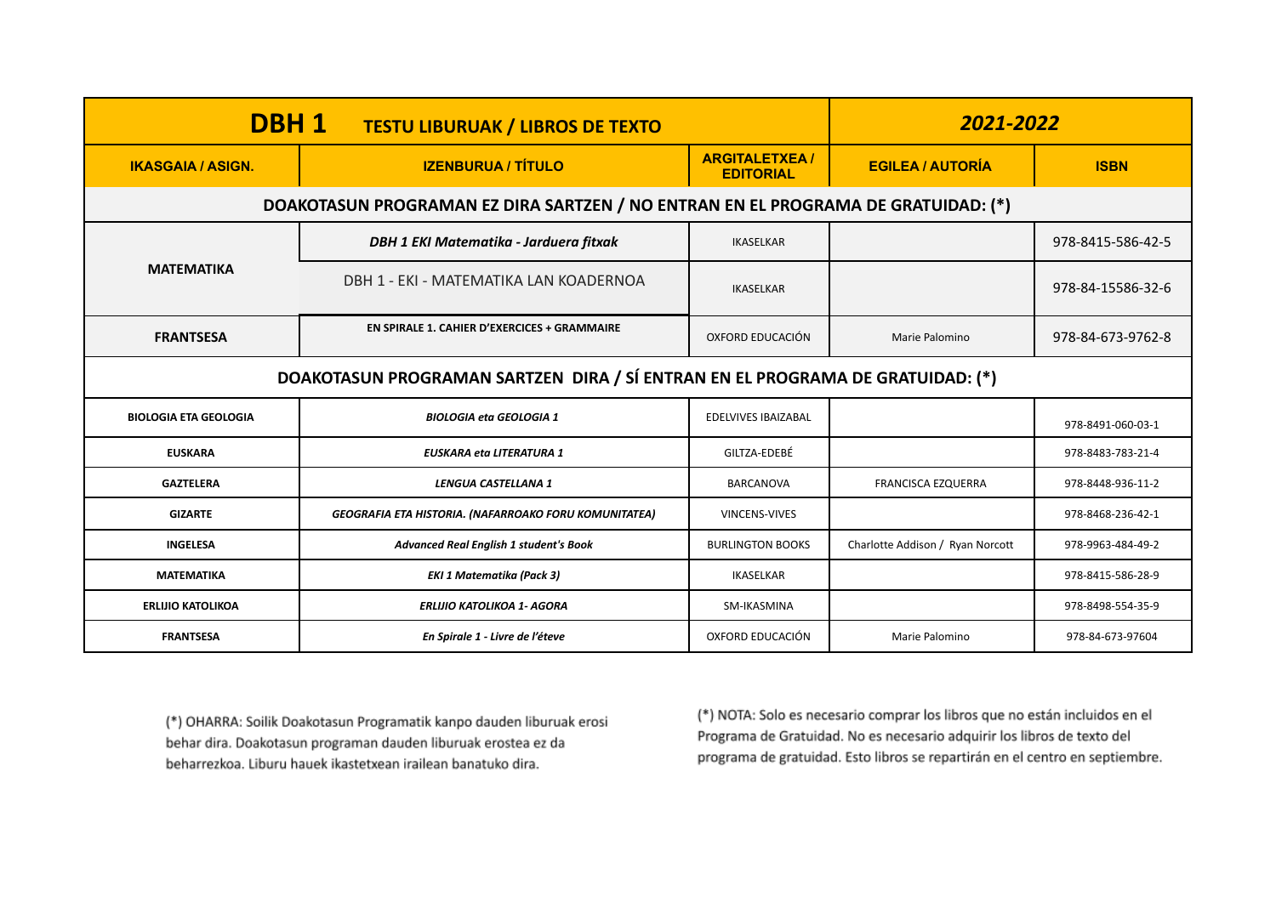| DBH <sub>1</sub><br><b>TESTU LIBURUAK / LIBROS DE TEXTO</b>                    |                                                                                   |                                          | 2021-2022                              |                   |
|--------------------------------------------------------------------------------|-----------------------------------------------------------------------------------|------------------------------------------|----------------------------------------|-------------------|
| <b>IKASGAIA / ASIGN.</b>                                                       | <b>IZENBURUA / TÍTULO</b>                                                         | <b>ARGITALETXEA/</b><br><b>EDITORIAL</b> | <b>EGILEA / AUTORÍA</b><br><b>ISBN</b> |                   |
|                                                                                | DOAKOTASUN PROGRAMAN EZ DIRA SARTZEN / NO ENTRAN EN EL PROGRAMA DE GRATUIDAD: (*) |                                          |                                        |                   |
| <b>MATEMATIKA</b>                                                              | DBH 1 EKI Matematika - Jarduera fitxak                                            | <b>IKASELKAR</b>                         |                                        | 978-8415-586-42-5 |
|                                                                                | DBH 1 - EKI - MATEMATIKA LAN KOADERNOA                                            | <b>IKASELKAR</b>                         |                                        | 978-84-15586-32-6 |
| <b>FRANTSESA</b>                                                               | EN SPIRALE 1. CAHIER D'EXERCICES + GRAMMAIRE                                      | OXFORD EDUCACIÓN                         | Marie Palomino                         | 978-84-673-9762-8 |
| DOAKOTASUN PROGRAMAN SARTZEN DIRA / SÍ ENTRAN EN EL PROGRAMA DE GRATUIDAD: (*) |                                                                                   |                                          |                                        |                   |
| <b>BIOLOGIA ETA GEOLOGIA</b>                                                   | <b>BIOLOGIA eta GEOLOGIA 1</b>                                                    | <b>EDELVIVES IBAIZABAL</b>               |                                        | 978-8491-060-03-1 |
| <b>EUSKARA</b>                                                                 | <b>EUSKARA eta LITERATURA 1</b>                                                   | GILTZA-EDEBÉ                             |                                        | 978-8483-783-21-4 |
| <b>GAZTELERA</b>                                                               | LENGUA CASTELLANA 1                                                               | <b>BARCANOVA</b>                         | <b>FRANCISCA EZQUERRA</b>              | 978-8448-936-11-2 |
| <b>GIZARTE</b>                                                                 | <b>GEOGRAFIA ETA HISTORIA. (NAFARROAKO FORU KOMUNITATEA)</b>                      | <b>VINCENS-VIVES</b>                     |                                        | 978-8468-236-42-1 |
| <b>INGELESA</b>                                                                | <b>Advanced Real English 1 student's Book</b>                                     | <b>BURLINGTON BOOKS</b>                  | Charlotte Addison / Ryan Norcott       | 978-9963-484-49-2 |
| <b>MATEMATIKA</b>                                                              | <b>EKI 1 Matematika (Pack 3)</b>                                                  | <b>IKASELKAR</b>                         |                                        | 978-8415-586-28-9 |
| <b>ERLIJIO KATOLIKOA</b>                                                       | <b>ERLIJIO KATOLIKOA 1- AGORA</b>                                                 | SM-IKASMINA                              |                                        | 978-8498-554-35-9 |
| <b>FRANTSESA</b>                                                               | En Spirale 1 - Livre de l'éteve                                                   | OXFORD EDUCACIÓN                         | Marie Palomino                         | 978-84-673-97604  |

(\*) NOTA: Solo es necesario comprar los libros que no están incluidos en el Programa de Gratuidad. No es necesario adquirir los libros de texto del programa de gratuidad. Esto libros se repartirán en el centro en septiembre.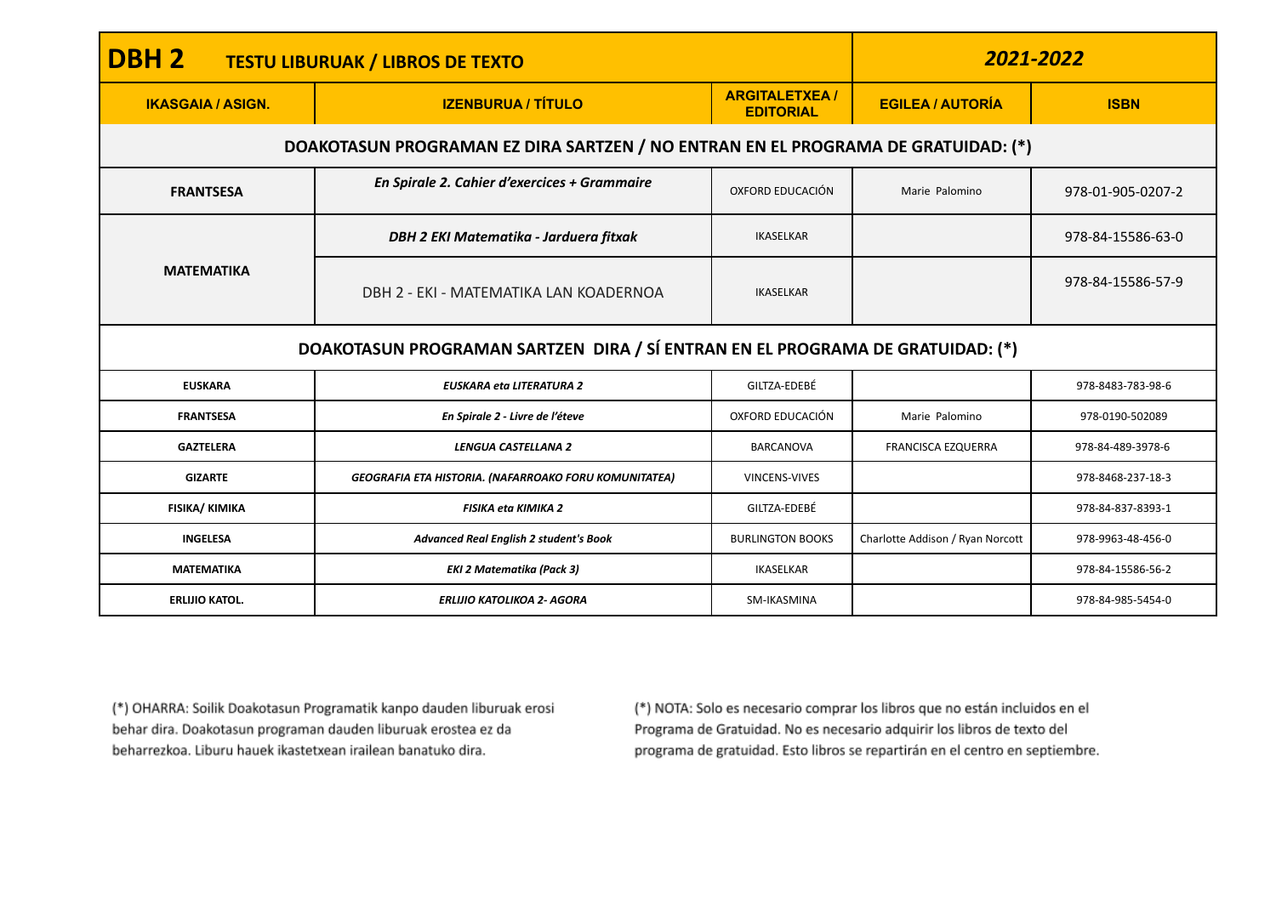| DBH <sub>2</sub><br><b>TESTU LIBURUAK / LIBROS DE TEXTO</b>                    |                                                                                   |                                          | 2021-2022                        |                   |
|--------------------------------------------------------------------------------|-----------------------------------------------------------------------------------|------------------------------------------|----------------------------------|-------------------|
| <b>IKASGAIA / ASIGN.</b>                                                       | <b>IZENBURUA / TÍTULO</b>                                                         | <b>ARGITALETXEA/</b><br><b>EDITORIAL</b> | <b>EGILEA / AUTORÍA</b>          | <b>ISBN</b>       |
|                                                                                | DOAKOTASUN PROGRAMAN EZ DIRA SARTZEN / NO ENTRAN EN EL PROGRAMA DE GRATUIDAD: (*) |                                          |                                  |                   |
| <b>FRANTSESA</b>                                                               | En Spirale 2. Cahier d'exercices + Grammaire                                      | OXFORD EDUCACIÓN                         | Marie Palomino                   | 978-01-905-0207-2 |
|                                                                                | DBH 2 EKI Matematika - Jarduera fitxak                                            | <b>IKASELKAR</b>                         |                                  | 978-84-15586-63-0 |
| <b>MATEMATIKA</b>                                                              | DBH 2 - EKI - MATEMATIKA LAN KOADERNOA                                            | <b>IKASELKAR</b>                         |                                  | 978-84-15586-57-9 |
| DOAKOTASUN PROGRAMAN SARTZEN DIRA / SÍ ENTRAN EN EL PROGRAMA DE GRATUIDAD: (*) |                                                                                   |                                          |                                  |                   |
| <b>EUSKARA</b>                                                                 | <b>EUSKARA eta LITERATURA 2</b>                                                   | GILTZA-EDEBÉ                             |                                  | 978-8483-783-98-6 |
| <b>FRANTSESA</b>                                                               | En Spirale 2 - Livre de l'éteve                                                   | OXFORD EDUCACIÓN                         | Marie Palomino                   | 978-0190-502089   |
| <b>GAZTELERA</b>                                                               | LENGUA CASTELLANA 2                                                               | BARCANOVA                                | <b>FRANCISCA EZQUERRA</b>        | 978-84-489-3978-6 |
| <b>GIZARTE</b>                                                                 | <b>GEOGRAFIA ETA HISTORIA. (NAFARROAKO FORU KOMUNITATEA)</b>                      | VINCENS-VIVES                            |                                  | 978-8468-237-18-3 |
| FISIKA/ KIMIKA                                                                 | <b>FISIKA eta KIMIKA 2</b>                                                        | GILTZA-EDEBÉ                             |                                  | 978-84-837-8393-1 |
| <b>INGELESA</b>                                                                | <b>Advanced Real English 2 student's Book</b>                                     | <b>BURLINGTON BOOKS</b>                  | Charlotte Addison / Ryan Norcott | 978-9963-48-456-0 |
| <b>MATEMATIKA</b>                                                              | <b>EKI 2 Matematika (Pack 3)</b>                                                  | <b>IKASELKAR</b>                         |                                  | 978-84-15586-56-2 |
| <b>ERLIJIO KATOL.</b>                                                          | <b>ERLIJIO KATOLIKOA 2- AGORA</b>                                                 | SM-IKASMINA                              |                                  | 978-84-985-5454-0 |

(\*) NOTA: Solo es necesario comprar los libros que no están incluidos en el Programa de Gratuidad. No es necesario adquirir los libros de texto del programa de gratuidad. Esto libros se repartirán en el centro en septiembre.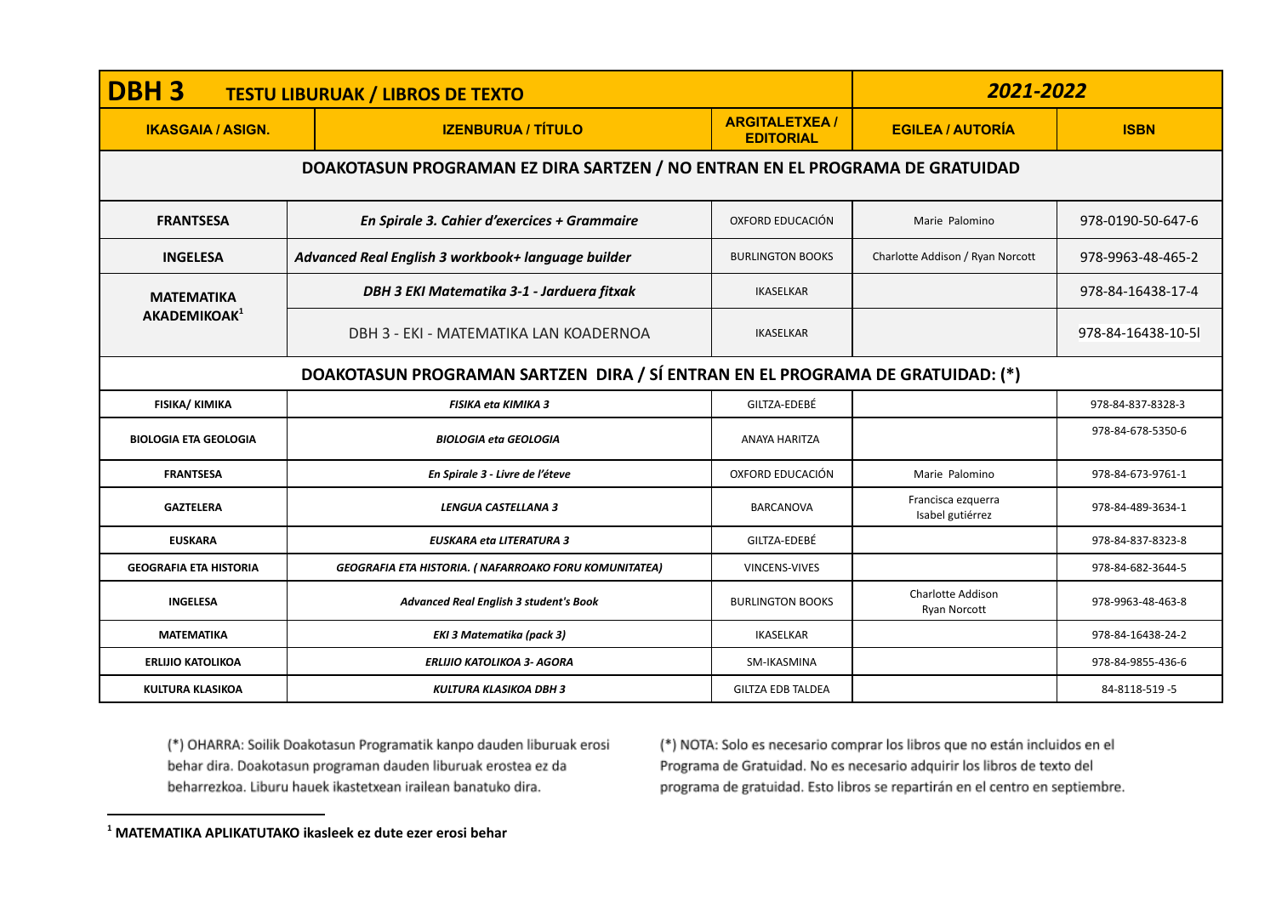| <b>DBH3</b><br><b>TESTU LIBURUAK / LIBROS DE TEXTO</b> |                                                                                | 2021-2022                                |                                                 |                   |  |
|--------------------------------------------------------|--------------------------------------------------------------------------------|------------------------------------------|-------------------------------------------------|-------------------|--|
| <b>IKASGAIA / ASIGN.</b>                               | <b>IZENBURUA / TÍTULO</b>                                                      | <b>ARGITALETXEA/</b><br><b>EDITORIAL</b> | <b>EGILEA / AUTORÍA</b>                         | <b>ISBN</b>       |  |
|                                                        | DOAKOTASUN PROGRAMAN EZ DIRA SARTZEN / NO ENTRAN EN EL PROGRAMA DE GRATUIDAD   |                                          |                                                 |                   |  |
| <b>FRANTSESA</b>                                       | En Spirale 3. Cahier d'exercices + Grammaire                                   | <b>OXFORD EDUCACIÓN</b>                  | Marie Palomino                                  | 978-0190-50-647-6 |  |
| <b>INGELESA</b>                                        | Advanced Real English 3 workbook+ language builder                             | <b>BURLINGTON BOOKS</b>                  | Charlotte Addison / Ryan Norcott                | 978-9963-48-465-2 |  |
| <b>MATEMATIKA</b>                                      | DBH 3 EKI Matematika 3-1 - Jarduera fitxak                                     | <b>IKASELKAR</b>                         |                                                 | 978-84-16438-17-4 |  |
| AKADEMIKOAK <sup>1</sup>                               | DBH 3 - EKI - MATEMATIKA LAN KOADERNOA                                         | <b>IKASELKAR</b>                         |                                                 | 978-84-16438-10-5 |  |
|                                                        | DOAKOTASUN PROGRAMAN SARTZEN DIRA / SÍ ENTRAN EN EL PROGRAMA DE GRATUIDAD: (*) |                                          |                                                 |                   |  |
| <b>FISIKA/ KIMIKA</b>                                  | <b>FISIKA eta KIMIKA 3</b>                                                     | GILTZA-EDEBÉ                             |                                                 | 978-84-837-8328-3 |  |
| <b>BIOLOGIA ETA GEOLOGIA</b>                           | <b>BIOLOGIA eta GEOLOGIA</b>                                                   | ANAYA HARITZA                            |                                                 | 978-84-678-5350-6 |  |
| <b>FRANTSESA</b>                                       | En Spirale 3 - Livre de l'éteve                                                | OXFORD EDUCACIÓN                         | Marie Palomino                                  | 978-84-673-9761-1 |  |
| <b>GAZTELERA</b>                                       | LENGUA CASTELLANA 3                                                            | <b>BARCANOVA</b>                         | Francisca ezquerra<br>Isabel gutiérrez          | 978-84-489-3634-1 |  |
| <b>EUSKARA</b>                                         | <b>EUSKARA eta LITERATURA 3</b>                                                | GILTZA-EDEBÉ                             |                                                 | 978-84-837-8323-8 |  |
| <b>GEOGRAFIA ETA HISTORIA</b>                          | GEOGRAFIA ETA HISTORIA. (NAFARROAKO FORU KOMUNITATEA)                          | VINCENS-VIVES                            |                                                 | 978-84-682-3644-5 |  |
| <b>INGELESA</b>                                        | <b>Advanced Real English 3 student's Book</b>                                  | <b>BURLINGTON BOOKS</b>                  | <b>Charlotte Addison</b><br><b>Ryan Norcott</b> | 978-9963-48-463-8 |  |
| <b>MATEMATIKA</b>                                      | <b>EKI 3 Matematika (pack 3)</b>                                               | <b>IKASELKAR</b>                         |                                                 | 978-84-16438-24-2 |  |
| <b>ERLIJIO KATOLIKOA</b>                               | <b>ERLIJIO KATOLIKOA 3- AGORA</b>                                              | SM-IKASMINA                              |                                                 | 978-84-9855-436-6 |  |
| <b>KULTURA KLASIKOA</b>                                | <b>KULTURA KLASIKOA DBH 3</b>                                                  | <b>GILTZA EDB TALDEA</b>                 |                                                 | 84-8118-519-5     |  |

(\*) NOTA: Solo es necesario comprar los libros que no están incluidos en el Programa de Gratuidad. No es necesario adquirir los libros de texto del programa de gratuidad. Esto libros se repartirán en el centro en septiembre.

**<sup>1</sup> MATEMATIKA APLIKATUTAKO ikasleek ez dute ezer erosi behar**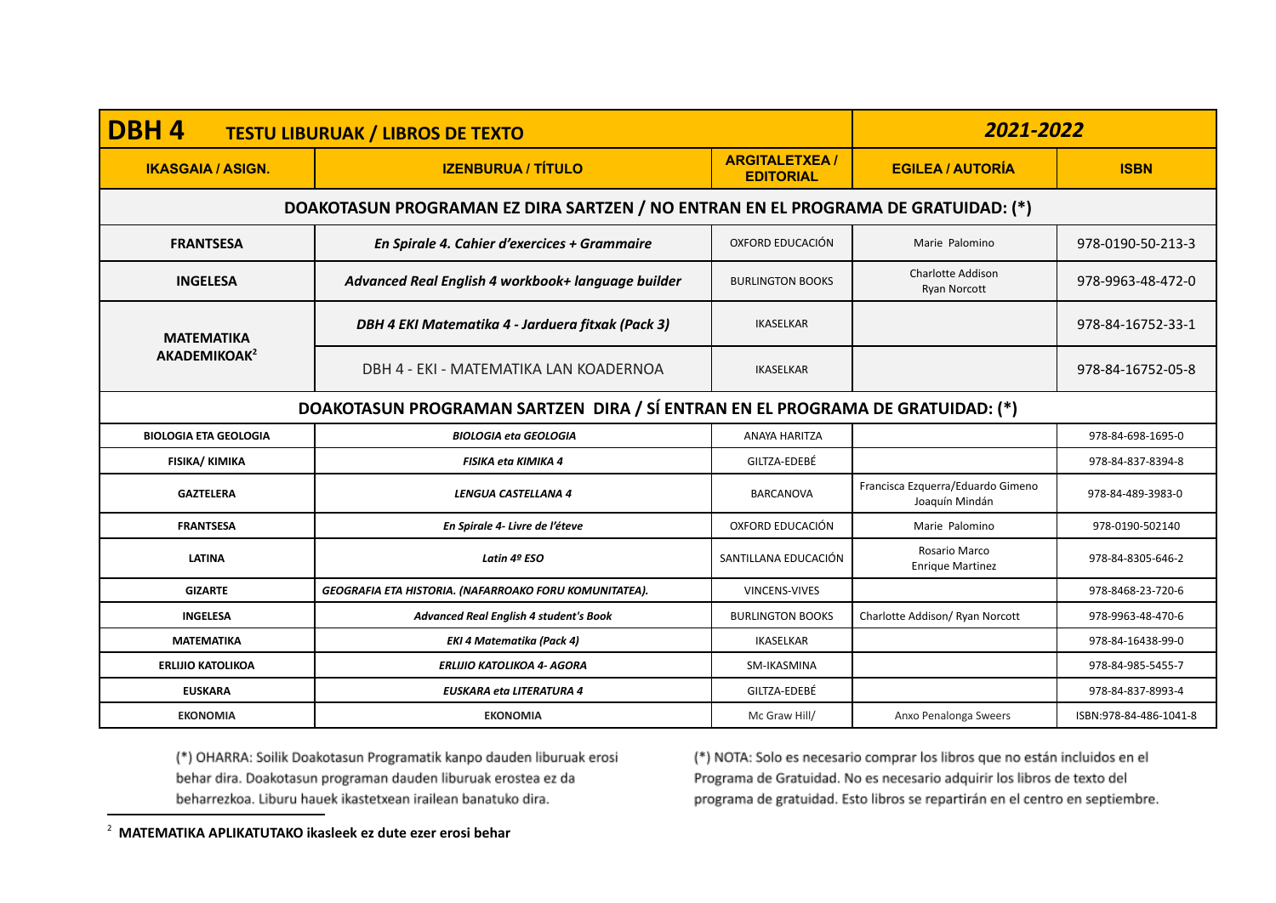| DBH4<br><b>TESTU LIBURUAK / LIBROS DE TEXTO</b> |                                                                                   |                                          | 2021-2022                                           |                        |
|-------------------------------------------------|-----------------------------------------------------------------------------------|------------------------------------------|-----------------------------------------------------|------------------------|
| <b>IKASGAIA / ASIGN.</b>                        | <b>IZENBURUA / TÍTULO</b>                                                         | <b>ARGITALETXEA/</b><br><b>EDITORIAL</b> | <b>EGILEA / AUTORÍA</b>                             | <b>ISBN</b>            |
|                                                 | DOAKOTASUN PROGRAMAN EZ DIRA SARTZEN / NO ENTRAN EN EL PROGRAMA DE GRATUIDAD: (*) |                                          |                                                     |                        |
| <b>FRANTSESA</b>                                | En Spirale 4. Cahier d'exercices + Grammaire                                      | OXFORD EDUCACIÓN                         | Marie Palomino                                      | 978-0190-50-213-3      |
| <b>INGELESA</b>                                 | Advanced Real English 4 workbook+ language builder                                | <b>BURLINGTON BOOKS</b>                  | <b>Charlotte Addison</b><br><b>Ryan Norcott</b>     | 978-9963-48-472-0      |
| <b>MATEMATIKA</b><br>AKADEMIKOAK <sup>2</sup>   | DBH 4 EKI Matematika 4 - Jarduera fitxak (Pack 3)                                 | <b>IKASELKAR</b>                         |                                                     | 978-84-16752-33-1      |
|                                                 | DBH 4 - EKI - MATEMATIKA LAN KOADERNOA                                            | <b>IKASELKAR</b>                         |                                                     | 978-84-16752-05-8      |
|                                                 | DOAKOTASUN PROGRAMAN SARTZEN DIRA / SÍ ENTRAN EN EL PROGRAMA DE GRATUIDAD: (*)    |                                          |                                                     |                        |
| <b>BIOLOGIA ETA GEOLOGIA</b>                    | <b>BIOLOGIA eta GEOLOGIA</b>                                                      | ANAYA HARITZA                            |                                                     | 978-84-698-1695-0      |
| <b>FISIKA/ KIMIKA</b>                           | <b>FISIKA eta KIMIKA 4</b>                                                        | GILTZA-EDEBÉ                             |                                                     | 978-84-837-8394-8      |
| <b>GAZTELERA</b>                                | LENGUA CASTELLANA 4                                                               | <b>BARCANOVA</b>                         | Francisca Ezquerra/Eduardo Gimeno<br>Joaquín Mindán | 978-84-489-3983-0      |
| <b>FRANTSESA</b>                                | En Spirale 4- Livre de l'éteve                                                    | OXFORD EDUCACIÓN                         | Marie Palomino                                      | 978-0190-502140        |
| <b>LATINA</b>                                   | Latin 4º ESO                                                                      | SANTILLANA EDUCACIÓN                     | Rosario Marco<br><b>Enrique Martinez</b>            | 978-84-8305-646-2      |
| <b>GIZARTE</b>                                  | GEOGRAFIA ETA HISTORIA. (NAFARROAKO FORU KOMUNITATEA).                            | VINCENS-VIVES                            |                                                     | 978-8468-23-720-6      |
| <b>INGELESA</b>                                 | Advanced Real English 4 student's Book                                            | <b>BURLINGTON BOOKS</b>                  | Charlotte Addison/ Ryan Norcott                     | 978-9963-48-470-6      |
| <b>MATEMATIKA</b>                               | <b>EKI 4 Matematika (Pack 4)</b>                                                  | <b>IKASELKAR</b>                         |                                                     | 978-84-16438-99-0      |
| <b>ERLIJIO KATOLIKOA</b>                        | <b>ERLIJIO KATOLIKOA 4- AGORA</b>                                                 | SM-IKASMINA                              |                                                     | 978-84-985-5455-7      |
| <b>EUSKARA</b>                                  | <b>EUSKARA eta LITERATURA 4</b>                                                   | GILTZA-EDEBÉ                             |                                                     | 978-84-837-8993-4      |
| <b>EKONOMIA</b>                                 | <b>EKONOMIA</b>                                                                   | Mc Graw Hill/                            | Anxo Penalonga Sweers                               | ISBN:978-84-486-1041-8 |

(\*) NOTA: Solo es necesario comprar los libros que no están incluidos en el Programa de Gratuidad. No es necesario adquirir los libros de texto del programa de gratuidad. Esto libros se repartirán en el centro en septiembre.

<sup>2</sup> **MATEMATIKA APLIKATUTAKO ikasleek ez dute ezer erosi behar**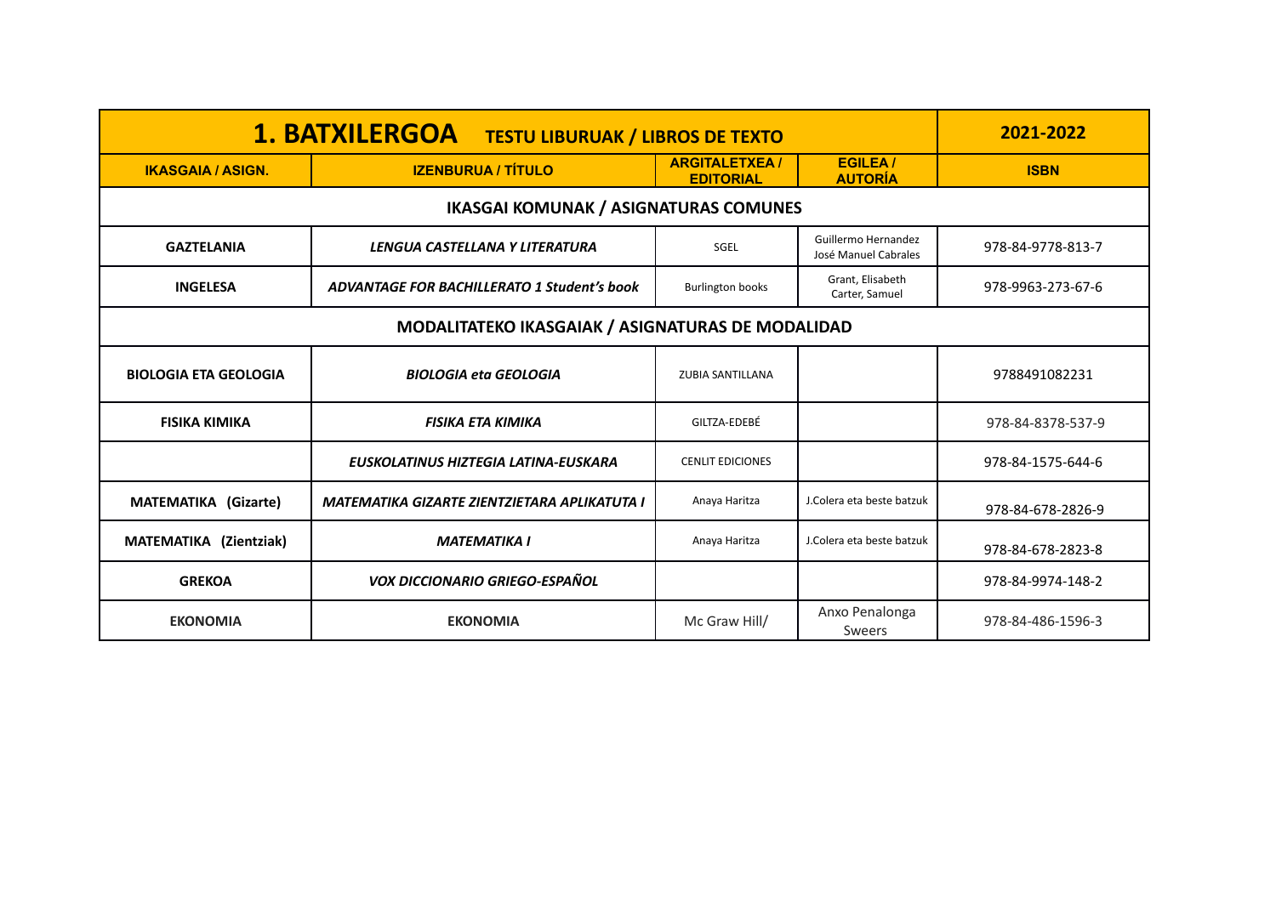| <b>1. BATXILERGOA</b><br><b>TESTU LIBURUAK / LIBROS DE TEXTO</b> |                                                    |                                          |                                             | 2021-2022         |
|------------------------------------------------------------------|----------------------------------------------------|------------------------------------------|---------------------------------------------|-------------------|
| <b>IKASGAIA / ASIGN.</b>                                         | <b>IZENBURUA / TÍTULO</b>                          | <b>ARGITALETXEA/</b><br><b>EDITORIAL</b> | <b>EGILEA</b> /<br><b>AUTORÍA</b>           | <b>ISBN</b>       |
|                                                                  | <b>IKASGAI KOMUNAK / ASIGNATURAS COMUNES</b>       |                                          |                                             |                   |
| <b>GAZTELANIA</b>                                                | LENGUA CASTELLANA Y LITERATURA                     | SGEL                                     | Guillermo Hernandez<br>José Manuel Cabrales | 978-84-9778-813-7 |
| <b>INGELESA</b>                                                  | <b>ADVANTAGE FOR BACHILLERATO 1 Student's book</b> | <b>Burlington books</b>                  | Grant, Elisabeth<br>Carter, Samuel          | 978-9963-273-67-6 |
| MODALITATEKO IKASGAIAK / ASIGNATURAS DE MODALIDAD                |                                                    |                                          |                                             |                   |
| <b>BIOLOGIA ETA GEOLOGIA</b>                                     | <b>BIOLOGIA eta GEOLOGIA</b>                       | <b>ZUBIA SANTILLANA</b>                  |                                             | 9788491082231     |
| <b>FISIKA KIMIKA</b>                                             | <b>FISIKA ETA KIMIKA</b>                           | GILTZA-EDEBÉ                             |                                             | 978-84-8378-537-9 |
|                                                                  | EUSKOLATINUS HIZTEGIA LATINA-EUSKARA               | <b>CENLIT EDICIONES</b>                  |                                             | 978-84-1575-644-6 |
| <b>MATEMATIKA (Gizarte)</b>                                      | MATEMATIKA GIZARTE ZIENTZIETARA APLIKATUTA I       | Anaya Haritza                            | J.Colera eta beste batzuk                   | 978-84-678-2826-9 |
| MATEMATIKA (Zientziak)                                           | <b>MATEMATIKA I</b>                                | Anaya Haritza                            | J.Colera eta beste batzuk                   | 978-84-678-2823-8 |
| <b>GREKOA</b>                                                    | <b>VOX DICCIONARIO GRIEGO-ESPAÑOL</b>              |                                          |                                             | 978-84-9974-148-2 |
| <b>EKONOMIA</b>                                                  | <b>EKONOMIA</b>                                    | Mc Graw Hill/                            | Anxo Penalonga<br><b>Sweers</b>             | 978-84-486-1596-3 |